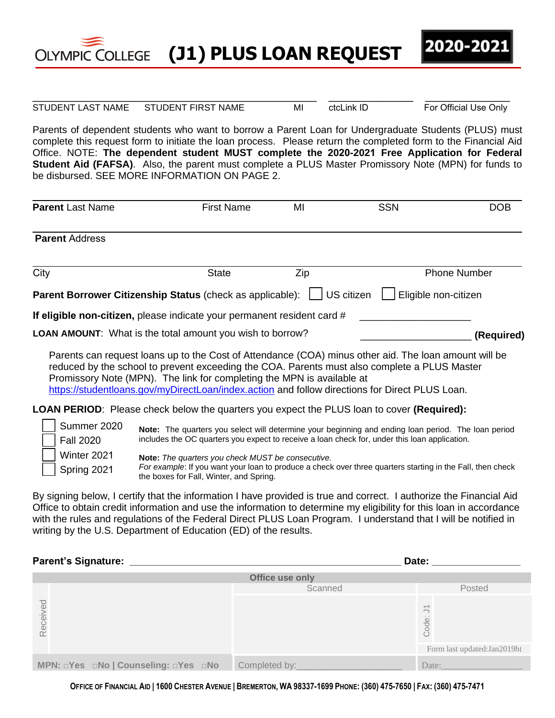**(J1) PLUS LOAN REQUEST**

2020-202

STUDENT LAST NAME STUDENT FIRST NAME MI ctcLink ID For Official Use Only

**OLYMPIC COLLEGE** 

\_\_\_\_\_\_\_\_\_\_\_\_\_\_\_\_\_\_\_\_\_\_\_\_\_\_\_\_\_\_\_\_\_\_\_\_\_\_\_\_\_\_\_\_\_\_\_ \_\_\_\_\_\_\_\_\_\_\_\_\_\_ \_\_\_\_\_\_\_\_\_\_\_\_\_\_

Parents of dependent students who want to borrow a Parent Loan for Undergraduate Students (PLUS) must complete this request form to initiate the loan process. Please return the completed form to the Financial Aid Office. NOTE: **The dependent student MUST complete the 2020-2021 Free Application for Federal Student Aid (FAFSA)**. Also, the parent must complete a PLUS Master Promissory Note (MPN) for funds to be disbursed. SEE MORE INFORMATION ON PAGE 2.

| <b>Parent Last Name</b>         | <b>First Name</b>                                                                                                                                                                                                                                                                                                                                                                 | MI                                                                                                                                                                                                   | <b>SSN</b>                         | <b>DOB</b>          |
|---------------------------------|-----------------------------------------------------------------------------------------------------------------------------------------------------------------------------------------------------------------------------------------------------------------------------------------------------------------------------------------------------------------------------------|------------------------------------------------------------------------------------------------------------------------------------------------------------------------------------------------------|------------------------------------|---------------------|
| <b>Parent Address</b>           |                                                                                                                                                                                                                                                                                                                                                                                   |                                                                                                                                                                                                      |                                    |                     |
| City                            | <b>State</b>                                                                                                                                                                                                                                                                                                                                                                      | Zip                                                                                                                                                                                                  |                                    | <b>Phone Number</b> |
|                                 | Parent Borrower Citizenship Status (check as applicable):                                                                                                                                                                                                                                                                                                                         |                                                                                                                                                                                                      | US citizen<br>Eligible non-citizen |                     |
|                                 | If eligible non-citizen, please indicate your permanent resident card #                                                                                                                                                                                                                                                                                                           |                                                                                                                                                                                                      |                                    |                     |
|                                 | <b>LOAN AMOUNT:</b> What is the total amount you wish to borrow?                                                                                                                                                                                                                                                                                                                  |                                                                                                                                                                                                      |                                    | (Required)          |
|                                 | Parents can request loans up to the Cost of Attendance (COA) minus other aid. The loan amount will be<br>reduced by the school to prevent exceeding the COA. Parents must also complete a PLUS Master<br>Promissory Note (MPN). The link for completing the MPN is available at<br>https://studentloans.gov/myDirectLoan/index.action and follow directions for Direct PLUS Loan. |                                                                                                                                                                                                      |                                    |                     |
|                                 | <b>LOAN PERIOD:</b> Please check below the quarters you expect the PLUS loan to cover (Required):                                                                                                                                                                                                                                                                                 |                                                                                                                                                                                                      |                                    |                     |
| Summer 2020<br><b>Fall 2020</b> |                                                                                                                                                                                                                                                                                                                                                                                   | Note: The quarters you select will determine your beginning and ending loan period. The loan period<br>includes the OC quarters you expect to receive a loan check for, under this loan application. |                                    |                     |
| Winter 2021<br>Spring 2021      | Note: The quarters you check MUST be consecutive.<br>For example: If you want your loan to produce a check over three quarters starting in the Fall, then check<br>the boxes for Fall, Winter, and Spring.                                                                                                                                                                        |                                                                                                                                                                                                      |                                    |                     |

By signing below, I certify that the information I have provided is true and correct. I authorize the Financial Aid Office to obtain credit information and use the information to determine my eligibility for this loan in accordance with the rules and regulations of the Federal Direct PLUS Loan Program. I understand that I will be notified in writing by the U.S. Department of Education (ED) of the results.

| <b>Parent's Signature:</b>           | Date:           |                              |  |
|--------------------------------------|-----------------|------------------------------|--|
|                                      | Office use only |                              |  |
|                                      | Scanned         | Posted                       |  |
| Received                             |                 | ら<br>Code:                   |  |
|                                      |                 | Form last updated: Jan2019ht |  |
| MPN: DYes DNo   Counseling: DYes DNo | Completed by:   | Date:                        |  |

OFFICE OF FINANCIAL AID | 1600 CHESTER AVENUE | BREMERTON, WA 98337-1699 PHONE: (360) 475-7650 | FAX: (360) 475-7471